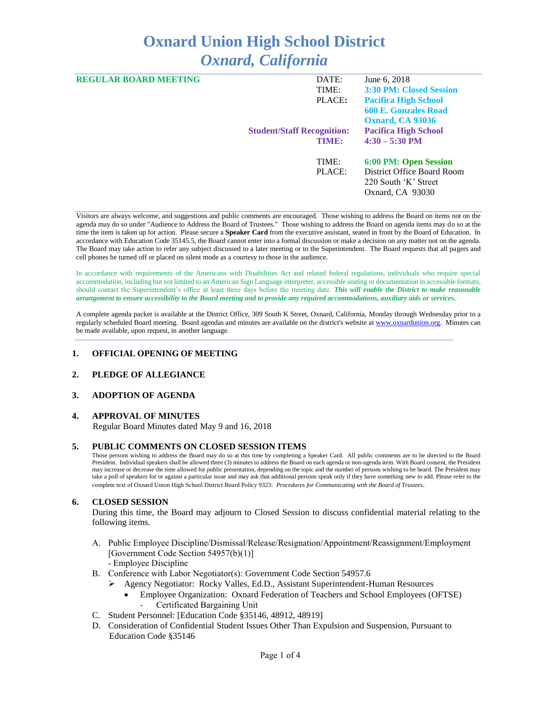# **Oxnard Union High School District** *Oxnard, California*

| <b>REGULAR BOARD MEETING</b> | DATE:                             | June 6, 2018                   |
|------------------------------|-----------------------------------|--------------------------------|
|                              | TIME:                             | <b>3:30 PM: Closed Session</b> |
|                              | PLACE:                            | <b>Pacifica High School</b>    |
|                              |                                   | <b>600 E. Gonzales Road</b>    |
|                              |                                   | <b>Oxnard, CA 93036</b>        |
|                              | <b>Student/Staff Recognition:</b> | <b>Pacifica High School</b>    |
|                              | TIME:                             | $4:30 - 5:30$ PM               |
|                              | TIME:                             | 6:00 PM: Open Session          |
|                              | PLACE:                            | District Office Board Room     |
|                              |                                   | 220 South 'K' Street           |
|                              |                                   | Oxnard, CA 93030               |

Visitors are always welcome, and suggestions and public comments are encouraged. Those wishing to address the Board on items not on the agenda may do so under "Audience to Address the Board of Trustees." Those wishing to address the Board on agenda items may do so at the time the item is taken up for action. Please secure a **Speaker Card** from the executive assistant, seated in front by the Board of Education. In accordance with Education Code 35145.5, the Board cannot enter into a formal discussion or make a decision on any matter not on the agenda. The Board may take action to refer any subject discussed to a later meeting or to the Superintendent. The Board requests that all pagers and cell phones be turned off or placed on silent mode as a courtesy to those in the audience.

In accordance with requirements of the Americans with Disabilities Act and related federal regulations, individuals who require special accommodation, including but not limited to an American Sign Language interpreter, accessible seating or documentation in accessible formats, should contact the Superintendent's office at least three days before the meeting date. *This will enable the District to make reasonable arrangement to ensure accessibility to the Board meeting and to provide any required accommodations, auxiliary aids or services.*

A complete agenda packet is available at the District Office, 309 South K Street, Oxnard, California, Monday through Wednesday prior to a regularly scheduled Board meeting. Board agendas and minutes are available on the district's website a[t www.ox](http://www.o/)nardunion.org.Minutes can be made available, upon request, in another language.

#### **1. OFFICIAL OPENING OF MEETING**

#### **2. PLEDGE OF ALLEGIANCE**

#### **3. ADOPTION OF AGENDA**

#### **4. APPROVAL OF MINUTES**

Regular Board Minutes dated May 9 and 16, 2018

#### **5. PUBLIC COMMENTS ON CLOSED SESSION ITEMS**

Those persons wishing to address the Board may do so at this time by completing a Speaker Card. All public comments are to be directed to the Board President. Individual speakers shall be allowed three (3) minutes to address the Board on each agenda or non-agenda item. With Board consent, the President may increase or decrease the time allowed for public presentation, depending on the topic and the number of persons wishing to be heard. The President may take a poll of speakers for or against a particular issue and may ask that additional persons speak only if they have something new to add. Please refer to the complete text of Oxnard Union High School District Board Policy 9323: *Procedures for Communicating with the Board of Trustees*.

#### **6. CLOSED SESSION**

During this time, the Board may adjourn to Closed Session to discuss confidential material relating to the following items.

- A. Public Employee Discipline/Dismissal/Release/Resignation/Appointment/Reassignment/Employment [Government Code Section 54957(b)(1)] - Employee Discipline
- B. Conference with Labor Negotiator(s): Government Code Section 54957.6
	- ➢ Agency Negotiator: Rocky Valles, Ed.D., Assistant Superintendent-Human Resources
		- Employee Organization: Oxnard Federation of Teachers and School Employees (OFTSE) Certificated Bargaining Unit
- C. Student Personnel: [Education Code §35146, 48912, 48919]
- D. Consideration of Confidential Student Issues Other Than Expulsion and Suspension, Pursuant to Education Code §35146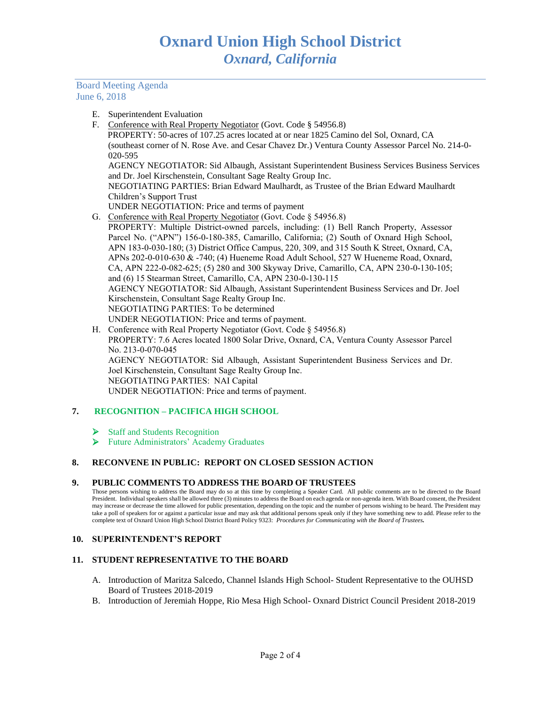Board Meeting Agenda June 6, 2018

- E. Superintendent Evaluation
- F. Conference with Real Property Negotiator (Govt. Code § 54956.8) PROPERTY: 50-acres of 107.25 acres located at or near 1825 Camino del Sol, Oxnard, CA (southeast corner of N. Rose Ave. and Cesar Chavez Dr.) Ventura County Assessor Parcel No. 214-0- 020-595 AGENCY NEGOTIATOR: Sid Albaugh, Assistant Superintendent Business Services Business Services and Dr. Joel Kirschenstein, Consultant Sage Realty Group Inc. NEGOTIATING PARTIES: Brian Edward Maulhardt, as Trustee of the Brian Edward Maulhardt
	- Children's Support Trust UNDER NEGOTIATION: Price and terms of payment
- G. Conference with Real Property Negotiator (Govt. Code § 54956.8) PROPERTY: Multiple District-owned parcels, including: (1) Bell Ranch Property, Assessor Parcel No. ("APN") 156-0-180-385, Camarillo, California; (2) South of Oxnard High School, APN 183-0-030-180; (3) District Office Campus, 220, 309, and 315 South K Street, Oxnard, CA, APNs 202-0-010-630 & -740; (4) Hueneme Road Adult School, 527 W Hueneme Road, Oxnard, CA, APN 222-0-082-625; (5) 280 and 300 Skyway Drive, Camarillo, CA, APN 230-0-130-105; and (6) 15 Stearman Street, Camarillo, CA, APN 230-0-130-115 AGENCY NEGOTIATOR: Sid Albaugh, Assistant Superintendent Business Services and Dr. Joel Kirschenstein, Consultant Sage Realty Group Inc. NEGOTIATING PARTIES: To be determined UNDER NEGOTIATION: Price and terms of payment.
- H. Conference with Real Property Negotiator (Govt. Code § 54956.8) PROPERTY: 7.6 Acres located 1800 Solar Drive, Oxnard, CA, Ventura County Assessor Parcel No. 213-0-070-045 AGENCY NEGOTIATOR: Sid Albaugh, Assistant Superintendent Business Services and Dr. Joel Kirschenstein, Consultant Sage Realty Group Inc. NEGOTIATING PARTIES: NAI Capital UNDER NEGOTIATION: Price and terms of payment.

# **7. RECOGNITION – PACIFICA HIGH SCHOOL**

- ➢ Staff and Students Recognition
- ➢ Future Administrators' Academy Graduates

## **8. RECONVENE IN PUBLIC: REPORT ON CLOSED SESSION ACTION**

#### **9. PUBLIC COMMENTS TO ADDRESS THE BOARD OF TRUSTEES**

Those persons wishing to address the Board may do so at this time by completing a Speaker Card. All public comments are to be directed to the Board President. Individual speakers shall be allowed three (3) minutes to address the Board on each agenda or non-agenda item. With Board consent, the President may increase or decrease the time allowed for public presentation, depending on the topic and the number of persons wishing to be heard. The President may take a poll of speakers for or against a particular issue and may ask that additional persons speak only if they have something new to add. Please refer to the complete text of Oxnard Union High School District Board Policy 9323: *Procedures for Communicating with the Board of Trustees.*

#### **10. SUPERINTENDENT'S REPORT**

#### **11. STUDENT REPRESENTATIVE TO THE BOARD**

- A. Introduction of Maritza Salcedo, Channel Islands High School- Student Representative to the OUHSD Board of Trustees 2018-2019
- B. Introduction of Jeremiah Hoppe, Rio Mesa High School- Oxnard District Council President 2018-2019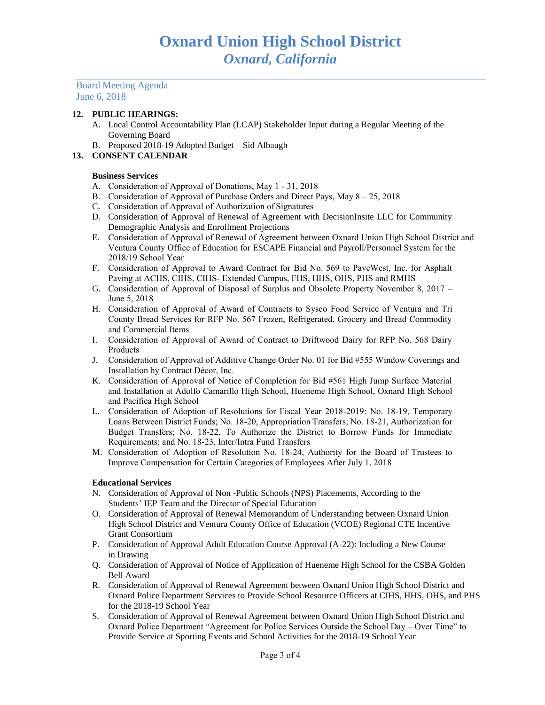Board Meeting Agenda June 6, 2018

#### **12. PUBLIC HEARINGS:**

- A. Local Control Accountability Plan (LCAP) Stakeholder Input during a Regular Meeting of the Governing Board
- B. Proposed 2018-19 Adopted Budget Sid Albaugh
- **13. CONSENT CALENDAR**

### **Business Services**

- A. Consideration of Approval of Donations, May 1 31, 2018
- B. Consideration of Approval of Purchase Orders and Direct Pays, May 8 25, 2018
- C. Consideration of Approval of Authorization of Signatures
- D. Consideration of Approval of Renewal of Agreement with DecisionInsite LLC for Community Demographic Analysis and Enrollment Projections
- E. Consideration of Approval of Renewal of Agreement between Oxnard Union High School District and Ventura County Office of Education for ESCAPE Financial and Payroll/Personnel System for the 2018/19 School Year
- F. Consideration of Approval to Award Contract for Bid No. 569 to PaveWest, Inc. for Asphalt Paving at ACHS, CIHS, CIHS- Extended Campus, FHS, HHS, OHS, PHS and RMHS
- G. Consideration of Approval of Disposal of Surplus and Obsolete Property November 8, 2017 June 5, 2018
- H. Consideration of Approval of Award of Contracts to Sysco Food Service of Ventura and Tri County Bread Services for RFP No. 567 Frozen, Refrigerated, Grocery and Bread Commodity and Commercial Items
- I. Consideration of Approval of Award of Contract to Driftwood Dairy for RFP No. 568 Dairy Products
- J. Consideration of Approval of Additive Change Order No. 01 for Bid #555 Window Coverings and Installation by Contract Décor, Inc.
- K. Consideration of Approval of Notice of Completion for Bid #561 High Jump Surface Material and Installation at Adolfo Camarillo High School, Hueneme High School, Oxnard High School and Pacifica High School
- L. Consideration of Adoption of Resolutions for Fiscal Year 2018-2019: No. 18-19, Temporary Loans Between District Funds; No. 18-20, Appropriation Transfers; No. 18-21, Authorization for Budget Transfers; No. 18-22, To Authorize the District to Borrow Funds for Immediate Requirements; and No. 18-23, Inter/Intra Fund Transfers
- M. Consideration of Adoption of Resolution No. 18-24, Authority for the Board of Trustees to Improve Compensation for Certain Categories of Employees After July 1, 2018

#### **Educational Services**

- N. Consideration of Approval of Non -Public Schools (NPS) Placements, According to the Students' IEP Team and the Director of Special Education
- O. Consideration of Approval of Renewal Memorandum of Understanding between Oxnard Union High School District and Ventura County Office of Education (VCOE) Regional CTE Incentive Grant Consortium
- P. Consideration of Approval Adult Education Course Approval (A-22): Including a New Course in Drawing
- Q. Consideration of Approval of Notice of Application of Hueneme High School for the CSBA Golden Bell Award
- R. Consideration of Approval of Renewal Agreement between Oxnard Union High School District and Oxnard Police Department Services to Provide School Resource Officers at CIHS, HHS, OHS, and PHS for the 2018-19 School Year
- S. Consideration of Approval of Renewal Agreement between Oxnard Union High School District and Oxnard Police Department "Agreement for Police Services Outside the School Day – Over Time" to Provide Service at Sporting Events and School Activities for the 2018-19 School Year